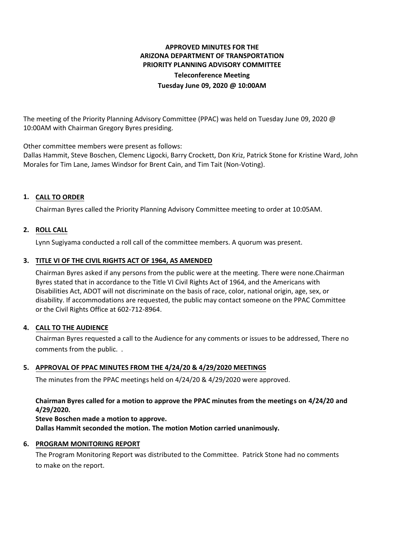# **APPROVED MINUTES FOR THE ARIZONA DEPARTMENT OF TRANSPORTATION PRIORITY PLANNING ADVISORY COMMITTEE Teleconference Meeting Tuesday June 09, 2020 @ 10:00AM**

The meeting of the Priority Planning Advisory Committee (PPAC) was held on Tuesday June 09, 2020 @ 10:00AM with Chairman Gregory Byres presiding.

Other committee members were present as follows:

Dallas Hammit, Steve Boschen, Clemenc Ligocki, Barry Crockett, Don Kriz, Patrick Stone for Kristine Ward, John Morales for Tim Lane, James Windsor for Brent Cain, and Tim Tait (Non-Voting).

### **CALL TO ORDER 1.**

Chairman Byres called the Priority Planning Advisory Committee meeting to order at 10:05AM.

### **ROLL CALL 2.**

Lynn Sugiyama conducted a roll call of the committee members. A quorum was present.

### **TITLE VI OF THE CIVIL RIGHTS ACT OF 1964, AS AMENDED 3.**

Chairman Byres asked if any persons from the public were at the meeting. There were none.Chairman Byres stated that in accordance to the Title VI Civil Rights Act of 1964, and the Americans with Disabilities Act, ADOT will not discriminate on the basis of race, color, national origin, age, sex, or disability. If accommodations are requested, the public may contact someone on the PPAC Committee or the Civil Rights Office at 602-712-8964.

#### **CALL TO THE AUDIENCE 4.**

Chairman Byres requested a call to the Audience for any comments or issues to be addressed, There no comments from the public. .

## **APPROVAL OF PPAC MINUTES FROM THE 4/24/20 & 4/29/2020 MEETINGS 5.**

The minutes from the PPAC meetings held on 4/24/20 & 4/29/2020 were approved.

### **Chairman Byres called for a motion to approve the PPAC minutes from the meetings on 4/24/20 and 4/29/2020.**

**Steve Boschen made a motion to approve. Dallas Hammit seconded the motion. The motion Motion carried unanimously.**

#### **6. PROGRAM MONITORING REPORT**

The Program Monitoring Report was distributed to the Committee. Patrick Stone had no comments to make on the report.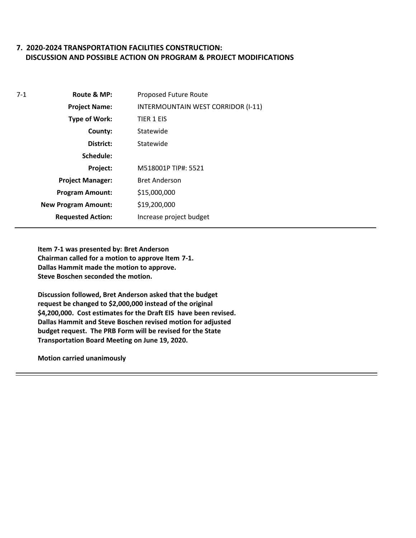# **7. 2020-2024 TRANSPORTATION FACILITIES CONSTRUCTION: DISCUSSION AND POSSIBLE ACTION ON PROGRAM & PROJECT MODIFICATIONS**

| 7-1 | Route & MP:                | Proposed Future Route              |
|-----|----------------------------|------------------------------------|
|     | <b>Project Name:</b>       | INTERMOUNTAIN WEST CORRIDOR (I-11) |
|     | <b>Type of Work:</b>       | TIER 1 EIS                         |
|     | County:                    | Statewide                          |
|     | District:                  | Statewide                          |
|     | Schedule:                  |                                    |
|     | Project:                   | M518001P TIP#: 5521                |
|     | <b>Project Manager:</b>    | <b>Bret Anderson</b>               |
|     | <b>Program Amount:</b>     | \$15,000,000                       |
|     | <b>New Program Amount:</b> | \$19,200,000                       |
|     | <b>Requested Action:</b>   | Increase project budget            |
|     |                            |                                    |

**Item 7-1 was presented by: Bret Anderson Chairman called for a motion to approve Item 7-1. Dallas Hammit made the motion to approve. Steve Boschen seconded the motion.** 

**Discussion followed, Bret Anderson asked that the budget request be changed to \$2,000,000 instead of the original \$4,200,000. Cost estimates for the Draft EIS have been revised. Dallas Hammit and Steve Boschen revised motion for adjusted budget request. The PRB Form will be revised for the State Transportation Board Meeting on June 19, 2020.** 

**Motion carried unanimously**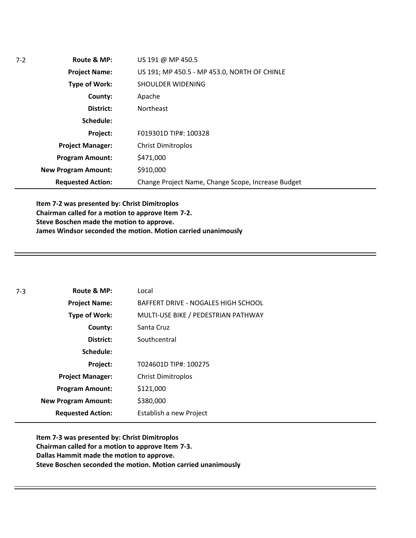| 7-2 | Route & MP:                | US 191 @ MP 450.5                                  |
|-----|----------------------------|----------------------------------------------------|
|     | <b>Project Name:</b>       | US 191; MP 450.5 - MP 453.0, NORTH OF CHINLE       |
|     | Type of Work:              | <b>SHOULDER WIDENING</b>                           |
|     | County:                    | Apache                                             |
|     | District:                  | <b>Northeast</b>                                   |
|     | Schedule:                  |                                                    |
|     | <b>Project:</b>            | F019301D TIP#: 100328                              |
|     | <b>Project Manager:</b>    | <b>Christ Dimitroplos</b>                          |
|     | <b>Program Amount:</b>     | \$471,000                                          |
|     | <b>New Program Amount:</b> | \$910,000                                          |
|     | <b>Requested Action:</b>   | Change Project Name, Change Scope, Increase Budget |

**Item 7-2 was presented by: Christ Dimitroplos Chairman called for a motion to approve Item 7-2. Steve Boschen made the motion to approve. James Windsor seconded the motion. Motion carried unanimously**

| $7-3$ | Route & MP:                | Local                               |
|-------|----------------------------|-------------------------------------|
|       | <b>Project Name:</b>       | BAFFERT DRIVE - NOGALES HIGH SCHOOL |
|       | Type of Work:              | MULTI-USE BIKE / PEDESTRIAN PATHWAY |
|       | County:                    | Santa Cruz                          |
|       | District:                  | Southcentral                        |
|       | Schedule:                  |                                     |
|       | Project:                   | T024601D TIP#: 100275               |
|       | <b>Project Manager:</b>    | <b>Christ Dimitroplos</b>           |
|       | <b>Program Amount:</b>     | \$121,000                           |
|       | <b>New Program Amount:</b> | \$380,000                           |
|       | <b>Requested Action:</b>   | Establish a new Project             |

**Item 7-3 was presented by: Christ Dimitroplos Chairman called for a motion to approve Item 7-3. Dallas Hammit made the motion to approve. Steve Boschen seconded the motion. Motion carried unanimously**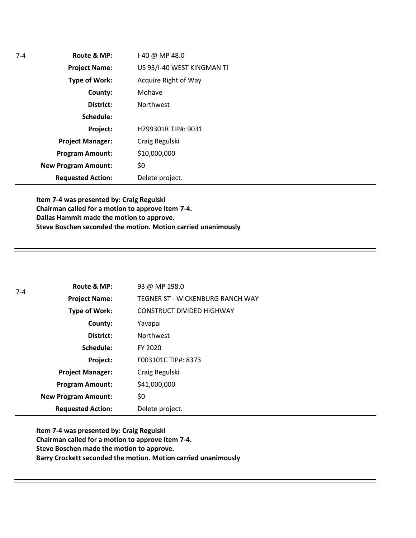| $7 - 4$ | Route & MP:                | I-40 @ MP 48.0             |
|---------|----------------------------|----------------------------|
|         | <b>Project Name:</b>       | US 93/I-40 WEST KINGMAN TI |
|         | <b>Type of Work:</b>       | Acquire Right of Way       |
|         | County:                    | Mohave                     |
|         | District:                  | <b>Northwest</b>           |
|         | Schedule:                  |                            |
|         | Project:                   | H799301R TIP#: 9031        |
|         | <b>Project Manager:</b>    | Craig Regulski             |
|         | <b>Program Amount:</b>     | \$10,000,000               |
|         | <b>New Program Amount:</b> | \$0                        |
|         | <b>Requested Action:</b>   | Delete project.            |

**Item 7-4 was presented by: Craig Regulski Chairman called for a motion to approve Item 7-4. Dallas Hammit made the motion to approve. Steve Boschen seconded the motion. Motion carried unanimously**

| $7 - 4$ | Route & MP:                | 93 @ MP 198.0                    |
|---------|----------------------------|----------------------------------|
|         | <b>Project Name:</b>       | TEGNER ST - WICKENBURG RANCH WAY |
|         | <b>Type of Work:</b>       | <b>CONSTRUCT DIVIDED HIGHWAY</b> |
|         | County:                    | Yavapai                          |
|         | District:                  | <b>Northwest</b>                 |
|         | Schedule:                  | FY 2020                          |
|         | Project:                   | F003101C TIP#: 8373              |
|         | <b>Project Manager:</b>    | Craig Regulski                   |
|         | <b>Program Amount:</b>     | \$41,000,000                     |
|         | <b>New Program Amount:</b> | \$0                              |
|         | <b>Requested Action:</b>   | Delete project.                  |

**Item 7-4 was presented by: Craig Regulski Chairman called for a motion to approve Item 7-4. Steve Boschen made the motion to approve. Barry Crockett seconded the motion. Motion carried unanimously**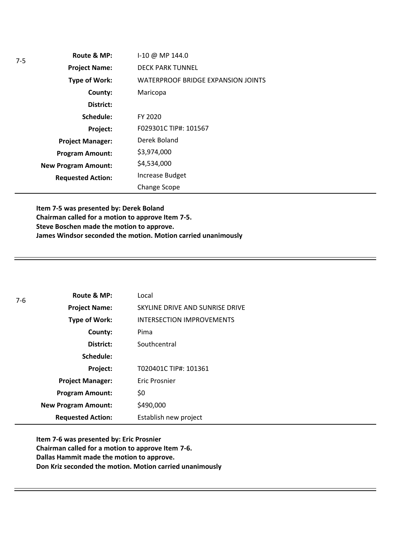| Route & MP:                | I-10 @ MP 144.0                           |
|----------------------------|-------------------------------------------|
| <b>Project Name:</b>       | <b>DECK PARK TUNNEL</b>                   |
| <b>Type of Work:</b>       | <b>WATERPROOF BRIDGE EXPANSION JOINTS</b> |
| County:                    | Maricopa                                  |
| District:                  |                                           |
| Schedule:                  | FY 2020                                   |
| Project:                   | F029301C TIP#: 101567                     |
| <b>Project Manager:</b>    | Derek Boland                              |
| <b>Program Amount:</b>     | \$3,974,000                               |
| <b>New Program Amount:</b> | \$4,534,000                               |
| <b>Requested Action:</b>   | <b>Increase Budget</b>                    |
|                            | Change Scope                              |

**Item 7-5 was presented by: Derek Boland Chairman called for a motion to approve Item 7-5. Steve Boschen made the motion to approve. James Windsor seconded the motion. Motion carried unanimously**

| Route & MP:                | Local                            |
|----------------------------|----------------------------------|
| <b>Project Name:</b>       | SKYLINE DRIVE AND SUNRISE DRIVE  |
| Type of Work:              | <b>INTERSECTION IMPROVEMENTS</b> |
| County:                    | Pima                             |
| District:                  | Southcentral                     |
| Schedule:                  |                                  |
| Project:                   | T020401C TIP#: 101361            |
| <b>Project Manager:</b>    | Eric Prosnier                    |
| <b>Program Amount:</b>     | \$0                              |
| <b>New Program Amount:</b> | \$490,000                        |
| <b>Requested Action:</b>   | Establish new project            |

**Item 7-6 was presented by: Eric Prosnier Chairman called for a motion to approve Item 7-6. Dallas Hammit made the motion to approve. Don Kriz seconded the motion. Motion carried unanimously**

7-6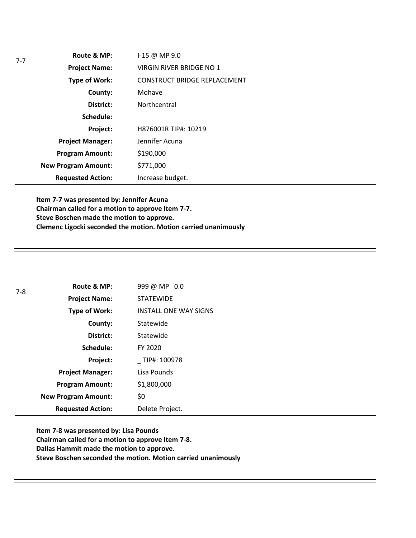| $7 - 7$ | Route & MP:                | 1-15 @ MP 9.0                       |
|---------|----------------------------|-------------------------------------|
|         | <b>Project Name:</b>       | <b>VIRGIN RIVER BRIDGE NO 1</b>     |
|         | <b>Type of Work:</b>       | <b>CONSTRUCT BRIDGE REPLACEMENT</b> |
|         | County:                    | Mohave                              |
|         | District:                  | Northcentral                        |
|         | Schedule:                  |                                     |
|         | Project:                   | H876001R TIP#: 10219                |
|         | <b>Project Manager:</b>    | Jennifer Acuna                      |
|         | <b>Program Amount:</b>     | \$190,000                           |
|         | <b>New Program Amount:</b> | \$771,000                           |
|         | <b>Requested Action:</b>   | Increase budget.                    |

**Item 7-7 was presented by: Jennifer Acuna Chairman called for a motion to approve Item 7-7. Steve Boschen made the motion to approve. Clemenc Ligocki seconded the motion. Motion carried unanimously**

| $7-8$ | Route & MP:                | 999 @ MP 0.0                 |
|-------|----------------------------|------------------------------|
|       | <b>Project Name:</b>       | <b>STATEWIDE</b>             |
|       | Type of Work:              | <b>INSTALL ONE WAY SIGNS</b> |
|       | County:                    | Statewide                    |
|       | District:                  | Statewide                    |
|       | Schedule:                  | FY 2020                      |
|       | Project:                   | TIP#: 100978                 |
|       | <b>Project Manager:</b>    | Lisa Pounds                  |
|       | <b>Program Amount:</b>     | \$1,800,000                  |
|       | <b>New Program Amount:</b> | \$0                          |
|       | <b>Requested Action:</b>   | Delete Project.              |

**Item 7-8 was presented by: Lisa Pounds Chairman called for a motion to approve Item 7-8. Dallas Hammit made the motion to approve. Steve Boschen seconded the motion. Motion carried unanimously**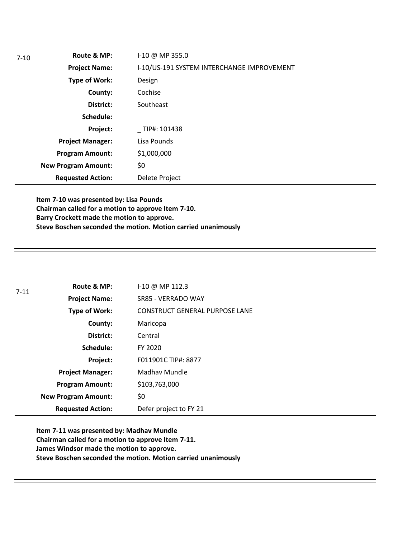| $7-10$ | Route & MP:                | I-10 @ MP 355.0                            |
|--------|----------------------------|--------------------------------------------|
|        | <b>Project Name:</b>       | I-10/US-191 SYSTEM INTERCHANGE IMPROVEMENT |
|        | <b>Type of Work:</b>       | Design                                     |
|        | County:                    | Cochise                                    |
|        | District:                  | Southeast                                  |
|        | Schedule:                  |                                            |
|        | Project:                   | TIP#: 101438                               |
|        | <b>Project Manager:</b>    | Lisa Pounds                                |
|        | <b>Program Amount:</b>     | \$1,000,000                                |
|        | <b>New Program Amount:</b> | \$0                                        |
|        | <b>Requested Action:</b>   | Delete Project                             |

**Item 7-10 was presented by: Lisa Pounds Chairman called for a motion to approve Item 7-10. Barry Crockett made the motion to approve. Steve Boschen seconded the motion. Motion carried unanimously**

| 7-11 | Route & MP:                | $1-10 \omega$ MP 112.3                |
|------|----------------------------|---------------------------------------|
|      | <b>Project Name:</b>       | SR85 - VERRADO WAY                    |
|      | <b>Type of Work:</b>       | <b>CONSTRUCT GENERAL PURPOSE LANE</b> |
|      | County:                    | Maricopa                              |
|      | District:                  | Central                               |
|      | Schedule:                  | FY 2020                               |
|      | Project:                   | F011901C TIP#: 8877                   |
|      | <b>Project Manager:</b>    | Madhav Mundle                         |
|      | <b>Program Amount:</b>     | \$103,763,000                         |
|      | <b>New Program Amount:</b> | \$0                                   |
|      | <b>Requested Action:</b>   | Defer project to FY 21                |

**Item 7-11 was presented by: Madhav Mundle Chairman called for a motion to approve Item 7-11. James Windsor made the motion to approve. Steve Boschen seconded the motion. Motion carried unanimously**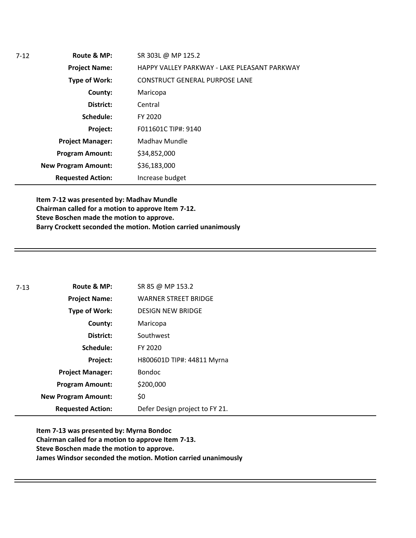| 7-12 | Route & MP:                | SR 303L @ MP 125.2                           |
|------|----------------------------|----------------------------------------------|
|      | <b>Project Name:</b>       | HAPPY VALLEY PARKWAY - LAKE PLEASANT PARKWAY |
|      | Type of Work:              | <b>CONSTRUCT GENERAL PURPOSE LANE</b>        |
|      | County:                    | Maricopa                                     |
|      | District:                  | Central                                      |
|      | Schedule:                  | FY 2020                                      |
|      | Project:                   | F011601C TIP#: 9140                          |
|      | <b>Project Manager:</b>    | Madhay Mundle                                |
|      | <b>Program Amount:</b>     | \$34,852,000                                 |
|      | <b>New Program Amount:</b> | \$36,183,000                                 |
|      | <b>Requested Action:</b>   | Increase budget                              |

**Item 7-12 was presented by: Madhav Mundle Chairman called for a motion to approve Item 7-12. Steve Boschen made the motion to approve. Barry Crockett seconded the motion. Motion carried unanimously**

| $7 - 13$ | Route & MP:                | SR 85 @ MP 153.2               |
|----------|----------------------------|--------------------------------|
|          | <b>Project Name:</b>       | <b>WARNER STREET BRIDGE</b>    |
|          | Type of Work:              | <b>DESIGN NEW BRIDGE</b>       |
|          | County:                    | Maricopa                       |
|          | District:                  | Southwest                      |
|          | Schedule:                  | FY 2020                        |
|          | Project:                   | H800601D TIP#: 44811 Myrna     |
|          | <b>Project Manager:</b>    | <b>Bondoc</b>                  |
|          | <b>Program Amount:</b>     | \$200,000                      |
|          | <b>New Program Amount:</b> | \$0                            |
|          | <b>Requested Action:</b>   | Defer Design project to FY 21. |

**Item 7-13 was presented by: Myrna Bondoc Chairman called for a motion to approve Item 7-13. Steve Boschen made the motion to approve. James Windsor seconded the motion. Motion carried unanimously**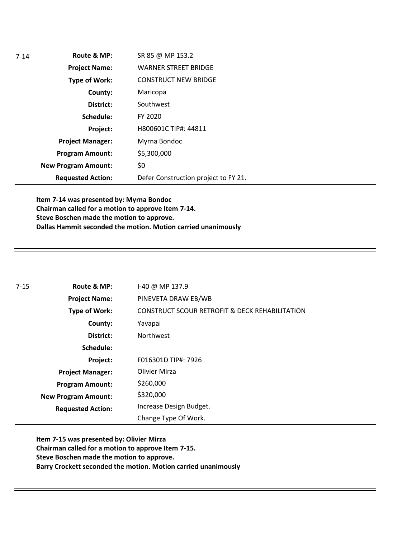| $7-14$ | Route & MP:                | SR 85 @ MP 153.2                     |
|--------|----------------------------|--------------------------------------|
|        | <b>Project Name:</b>       | <b>WARNER STREET BRIDGE</b>          |
|        | <b>Type of Work:</b>       | <b>CONSTRUCT NEW BRIDGE</b>          |
|        | County:                    | Maricopa                             |
|        | District:                  | Southwest                            |
|        | Schedule:                  | FY 2020                              |
|        | Project:                   | H800601C TIP#: 44811                 |
|        | <b>Project Manager:</b>    | Myrna Bondoc                         |
|        | <b>Program Amount:</b>     | \$5,300,000                          |
|        | <b>New Program Amount:</b> | \$0                                  |
|        | <b>Requested Action:</b>   | Defer Construction project to FY 21. |

**Item 7-14 was presented by: Myrna Bondoc Chairman called for a motion to approve Item 7-14. Steve Boschen made the motion to approve. Dallas Hammit seconded the motion. Motion carried unanimously**

| $7 - 15$ | Route & MP:                | I-40 @ MP 137.9                                           |
|----------|----------------------------|-----------------------------------------------------------|
|          | <b>Project Name:</b>       | PINEVETA DRAW EB/WB                                       |
|          | Type of Work:              | <b>CONSTRUCT SCOUR RETROFIT &amp; DECK REHABILITATION</b> |
|          | County:                    | Yavapai                                                   |
|          | District:                  | <b>Northwest</b>                                          |
|          | Schedule:                  |                                                           |
|          | Project:                   | F016301D TIP#: 7926                                       |
|          | <b>Project Manager:</b>    | Olivier Mirza                                             |
|          | <b>Program Amount:</b>     | \$260,000                                                 |
|          | <b>New Program Amount:</b> | \$320,000                                                 |
|          | <b>Requested Action:</b>   | Increase Design Budget.                                   |
|          |                            | Change Type Of Work.                                      |

**Item 7-15 was presented by: Olivier Mirza Chairman called for a motion to approve Item 7-15. Steve Boschen made the motion to approve. Barry Crockett seconded the motion. Motion carried unanimously**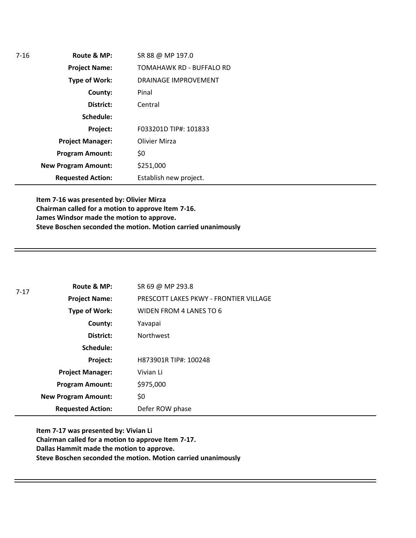| $7 - 16$ | Route & MP:                | SR 88 @ MP 197.0         |
|----------|----------------------------|--------------------------|
|          | <b>Project Name:</b>       | TOMAHAWK RD - BUFFALO RD |
|          | <b>Type of Work:</b>       | DRAINAGE IMPROVEMENT     |
|          | County:                    | Pinal                    |
|          | District:                  | Central                  |
|          | Schedule:                  |                          |
|          | Project:                   | F033201D TIP#: 101833    |
|          | <b>Project Manager:</b>    | Olivier Mirza            |
|          | <b>Program Amount:</b>     | \$0                      |
|          | <b>New Program Amount:</b> | \$251,000                |
|          | <b>Requested Action:</b>   | Establish new project.   |

**Item 7-16 was presented by: Olivier Mirza Chairman called for a motion to approve Item 7-16. James Windsor made the motion to approve. Steve Boschen seconded the motion. Motion carried unanimously**

| $7 - 17$ | Route & MP:                | SR 69 @ MP 293.8                       |
|----------|----------------------------|----------------------------------------|
|          | <b>Project Name:</b>       | PRESCOTT LAKES PKWY - FRONTIER VILLAGE |
|          | Type of Work:              | WIDEN FROM 4 LANES TO 6                |
|          | County:                    | Yavapai                                |
|          | District:                  | <b>Northwest</b>                       |
|          | Schedule:                  |                                        |
|          | Project:                   | H873901R TIP#: 100248                  |
|          | <b>Project Manager:</b>    | Vivian Li                              |
|          | <b>Program Amount:</b>     | \$975,000                              |
|          | <b>New Program Amount:</b> | \$0                                    |
|          | <b>Requested Action:</b>   | Defer ROW phase                        |

**Item 7-17 was presented by: Vivian Li Chairman called for a motion to approve Item 7-17. Dallas Hammit made the motion to approve. Steve Boschen seconded the motion. Motion carried unanimously**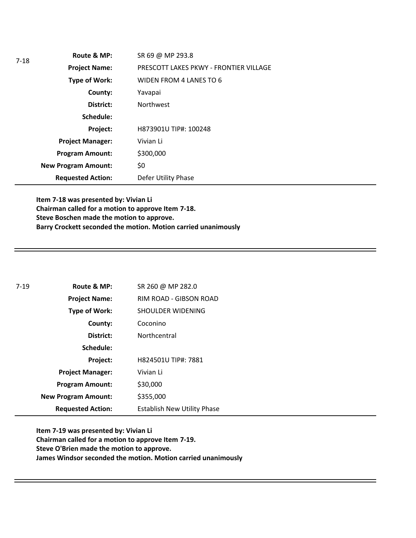| $7-18$ | Route & MP:                | SR 69 @ MP 293.8                       |
|--------|----------------------------|----------------------------------------|
|        | <b>Project Name:</b>       | PRESCOTT LAKES PKWY - FRONTIER VILLAGE |
|        | <b>Type of Work:</b>       | WIDEN FROM 4 LANES TO 6                |
|        | County:                    | Yavapai                                |
|        | District:                  | <b>Northwest</b>                       |
|        | Schedule:                  |                                        |
|        | Project:                   | H873901U TIP#: 100248                  |
|        | <b>Project Manager:</b>    | Vivian Li                              |
|        | <b>Program Amount:</b>     | \$300,000                              |
|        | <b>New Program Amount:</b> | \$0                                    |
|        | <b>Requested Action:</b>   | Defer Utility Phase                    |

**Item 7-18 was presented by: Vivian Li Chairman called for a motion to approve Item 7-18. Steve Boschen made the motion to approve. Barry Crockett seconded the motion. Motion carried unanimously**

| $7-19$ | Route & MP:                | SR 260 @ MP 282.0           |  |
|--------|----------------------------|-----------------------------|--|
|        | <b>Project Name:</b>       | RIM ROAD - GIBSON ROAD      |  |
|        | <b>Type of Work:</b>       | <b>SHOULDER WIDENING</b>    |  |
|        | County:                    | Coconino                    |  |
|        | District:                  | Northcentral                |  |
|        | Schedule:                  |                             |  |
|        | Project:                   | H824501U TIP#: 7881         |  |
|        | <b>Project Manager:</b>    | Vivian Li                   |  |
|        | <b>Program Amount:</b>     | \$30,000                    |  |
|        | <b>New Program Amount:</b> | \$355,000                   |  |
|        | <b>Requested Action:</b>   | Establish New Utility Phase |  |

**Item 7-19 was presented by: Vivian Li Chairman called for a motion to approve Item 7-19. Steve O'Brien made the motion to approve. James Windsor seconded the motion. Motion carried unanimously**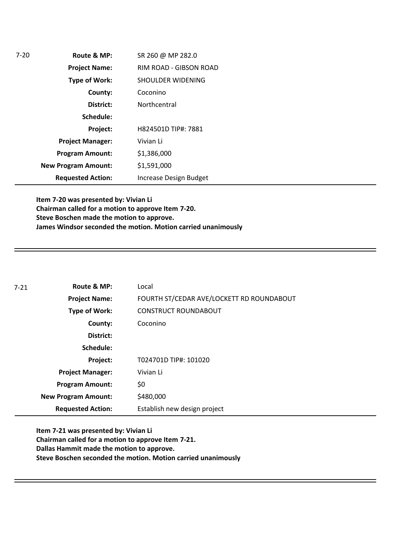| $7 - 20$ | Route & MP:                | SR 260 @ MP 282.0        |
|----------|----------------------------|--------------------------|
|          | <b>Project Name:</b>       | RIM ROAD - GIBSON ROAD   |
|          | <b>Type of Work:</b>       | <b>SHOULDER WIDENING</b> |
|          | County:                    | Coconino                 |
|          | District:                  | Northcentral             |
|          | Schedule:                  |                          |
|          | Project:                   | H824501D TIP#: 7881      |
|          | <b>Project Manager:</b>    | Vivian Li                |
|          | <b>Program Amount:</b>     | \$1,386,000              |
|          | <b>New Program Amount:</b> | \$1,591,000              |
|          | <b>Requested Action:</b>   | Increase Design Budget   |

**Item 7-20 was presented by: Vivian Li Chairman called for a motion to approve Item 7-20. Steve Boschen made the motion to approve. James Windsor seconded the motion. Motion carried unanimously**

| $7 - 21$ | Route & MP:                | Local                                     |
|----------|----------------------------|-------------------------------------------|
|          | <b>Project Name:</b>       | FOURTH ST/CEDAR AVE/LOCKETT RD ROUNDABOUT |
|          | <b>Type of Work:</b>       | <b>CONSTRUCT ROUNDABOUT</b>               |
|          | County:                    | Coconino                                  |
|          | District:                  |                                           |
|          | Schedule:                  |                                           |
|          | Project:                   | T024701D TIP#: 101020                     |
|          | <b>Project Manager:</b>    | Vivian Li                                 |
|          | <b>Program Amount:</b>     | \$0                                       |
|          | <b>New Program Amount:</b> | \$480,000                                 |
|          | <b>Requested Action:</b>   | Establish new design project              |

**Item 7-21 was presented by: Vivian Li Chairman called for a motion to approve Item 7-21. Dallas Hammit made the motion to approve. Steve Boschen seconded the motion. Motion carried unanimously**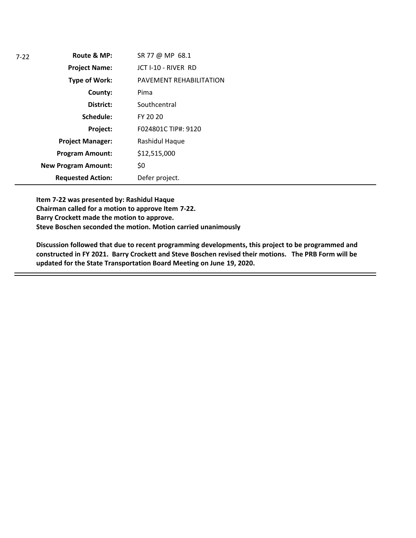| 7-22 | Route & MP:                | SR 77 @ MP 68.1         |
|------|----------------------------|-------------------------|
|      | <b>Project Name:</b>       | JCT I-10 - RIVER RD     |
|      | <b>Type of Work:</b>       | PAVEMENT REHABILITATION |
|      | County:                    | Pima                    |
|      | District:                  | Southcentral            |
|      | Schedule:                  | FY 20 20                |
|      | Project:                   | F024801C TIP#: 9120     |
|      | <b>Project Manager:</b>    | Rashidul Haque          |
|      | <b>Program Amount:</b>     | \$12,515,000            |
|      | <b>New Program Amount:</b> | \$0                     |
|      | <b>Requested Action:</b>   | Defer project.          |

**Item 7-22 was presented by: Rashidul Haque Chairman called for a motion to approve Item 7-22. Barry Crockett made the motion to approve. Steve Boschen seconded the motion. Motion carried unanimously**

**Discussion followed that due to recent programming developments, this project to be programmed and constructed in FY 2021. Barry Crockett and Steve Boschen revised their motions. The PRB Form will be updated for the State Transportation Board Meeting on June 19, 2020.**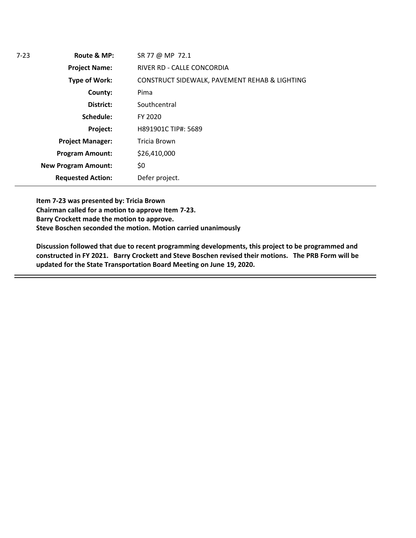| $7-23$ | Route & MP:                | SR 77 @ MP 72.1                               |
|--------|----------------------------|-----------------------------------------------|
|        | <b>Project Name:</b>       | RIVER RD - CALLE CONCORDIA                    |
|        | Type of Work:              | CONSTRUCT SIDEWALK, PAVEMENT REHAB & LIGHTING |
|        | County:                    | Pima                                          |
|        | District:                  | Southcentral                                  |
|        | Schedule:                  | FY 2020                                       |
|        | Project:                   | H891901C TIP#: 5689                           |
|        | <b>Project Manager:</b>    | Tricia Brown                                  |
|        | <b>Program Amount:</b>     | \$26,410,000                                  |
|        | <b>New Program Amount:</b> | \$0                                           |
|        | <b>Requested Action:</b>   | Defer project.                                |

**Item 7-23 was presented by: Tricia Brown Chairman called for a motion to approve Item 7-23. Barry Crockett made the motion to approve. Steve Boschen seconded the motion. Motion carried unanimously**

**Discussion followed that due to recent programming developments, this project to be programmed and constructed in FY 2021. Barry Crockett and Steve Boschen revised their motions. The PRB Form will be updated for the State Transportation Board Meeting on June 19, 2020.**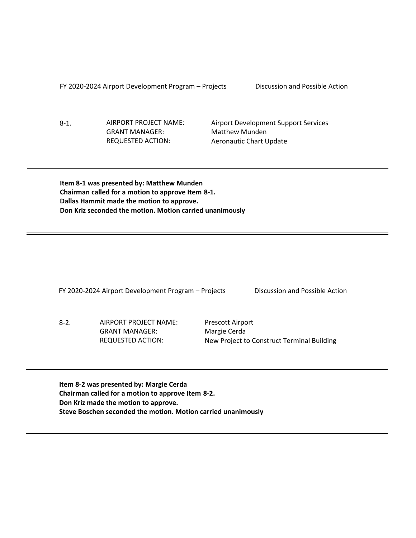FY 2020-2024 Airport Development Program – Projects Discussion and Possible Action

8-1. AIRPORT PROJECT NAME: GRANT MANAGER: REQUESTED ACTION:

Airport Development Support Services Matthew Munden Aeronautic Chart Update

**Item 8-1 was presented by: Matthew Munden Chairman called for a motion to approve Item 8-1. Dallas Hammit made the motion to approve. Don Kriz seconded the motion. Motion carried unanimously**

FY 2020-2024 Airport Development Program – Projects Discussion and Possible Action

8-2. AIRPORT PROJECT NAME: GRANT MANAGER: REQUESTED ACTION:

Prescott Airport Margie Cerda New Project to Construct Terminal Building

**Item 8-2 was presented by: Margie Cerda Chairman called for a motion to approve Item 8-2. Don Kriz made the motion to approve. Steve Boschen seconded the motion. Motion carried unanimously**